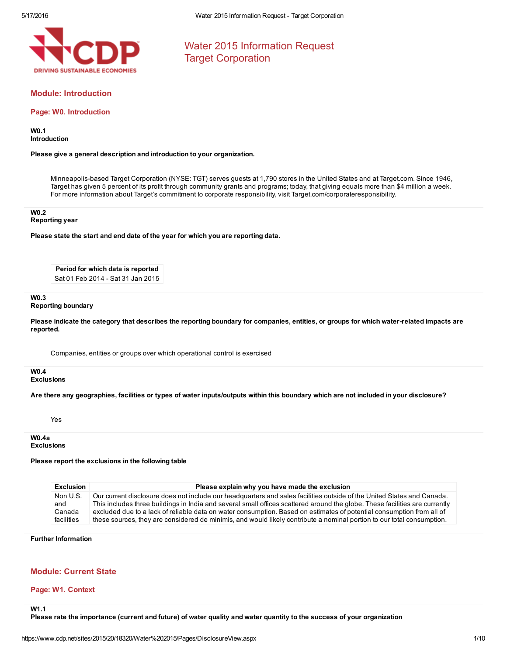

Water 2015 Information Request Target Corporation

# Module: Introduction

## Page: W0. Introduction

### W0.1 Introduction

### Please give a general description and introduction to your organization.

Minneapolis-based Target Corporation (NYSE: TGT) serves guests at 1,790 stores in the United States and at Target.com. Since 1946, Target has given 5 percent of its profit through community grants and programs; today, that giving equals more than \$4 million a week. For more information about Target's commitment to corporate responsibility, visit Target.com/corporateresponsibility.

#### W0.2

### Reporting year

Please state the start and end date of the year for which you are reporting data.

Period for which data is reported Sat 01 Feb 2014 - Sat 31 Jan 2015

#### W<sub>0.3</sub> Reporting boundary

Please indicate the category that describes the reporting boundary for companies, entities, or groups for which water-related impacts are reported.

Companies, entities or groups over which operational control is exercised

# W0.4

### **Exclusions**

Are there any geographies, facilities or types of water inputs/outputs within this boundary which are not included in your disclosure?

Yes

W0.4a Exclusions

## Please report the exclusions in the following table

| <b>Exclusion</b> | Please explain why you have made the exclusion                                                                              |
|------------------|-----------------------------------------------------------------------------------------------------------------------------|
| Non U.S.         | Our current disclosure does not include our headquarters and sales facilities outside of the United States and Canada.      |
| and              | This includes three buildings in India and several small offices scattered around the globe. These facilities are currently |
| Canada           | excluded due to a lack of reliable data on water consumption. Based on estimates of potential consumption from all of       |
| facilities       | these sources, they are considered de minimis, and would likely contribute a nominal portion to our total consumption.      |

## Further Information

## Module: Current State

## Page: W1. Context

W1.1

Please rate the importance (current and future) of water quality and water quantity to the success of your organization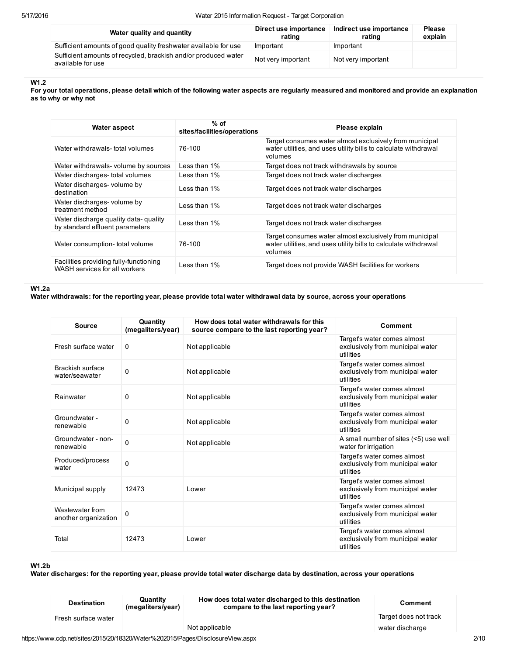| Water quality and quantity                                                          | Direct use importance<br>rating | Indirect use importance<br>rating | <b>Please</b><br>explain |
|-------------------------------------------------------------------------------------|---------------------------------|-----------------------------------|--------------------------|
| Sufficient amounts of good quality freshwater available for use                     | Important                       | Important                         |                          |
| Sufficient amounts of recycled, brackish and/or produced water<br>available for use | Not very important              | Not very important                |                          |

## W1.2

For your total operations, please detail which of the following water aspects are regularly measured and monitored and provide an explanation as to why or why not

| Water aspect                                                             | $%$ of<br>sites/facilities/operations | Please explain                                                                                                                        |
|--------------------------------------------------------------------------|---------------------------------------|---------------------------------------------------------------------------------------------------------------------------------------|
| Water withdrawals- total volumes                                         | 76-100                                | Target consumes water almost exclusively from municipal<br>water utilities, and uses utility bills to calculate withdrawal<br>volumes |
| Water withdrawals- volume by sources                                     | Less than 1%                          | Target does not track withdrawals by source                                                                                           |
| Water discharges- total volumes                                          | Less than 1%                          | Target does not track water discharges                                                                                                |
| Water discharges- volume by<br>destination                               | Less than 1%                          | Target does not track water discharges                                                                                                |
| Water discharges- volume by<br>treatment method                          | Less than 1%                          | Target does not track water discharges                                                                                                |
| Water discharge quality data- quality<br>by standard effluent parameters | Less than 1%                          | Target does not track water discharges                                                                                                |
| Water consumption- total volume                                          | 76-100                                | Target consumes water almost exclusively from municipal<br>water utilities, and uses utility bills to calculate withdrawal<br>volumes |
| Facilities providing fully-functioning<br>WASH services for all workers  | Less than 1%                          | Target does not provide WASH facilities for workers                                                                                   |

### W1.2a

Water withdrawals: for the reporting year, please provide total water withdrawal data by source, across your operations

| <b>Source</b>                           | Quantity<br>(megaliters/year) | How does total water withdrawals for this<br>source compare to the last reporting year? | Comment                                                                      |
|-----------------------------------------|-------------------------------|-----------------------------------------------------------------------------------------|------------------------------------------------------------------------------|
| Fresh surface water                     | 0                             | Not applicable                                                                          | Target's water comes almost<br>exclusively from municipal water<br>utilities |
| Brackish surface<br>water/seawater      | 0                             | Not applicable                                                                          | Target's water comes almost<br>exclusively from municipal water<br>utilities |
| Rainwater                               | 0                             | Not applicable                                                                          | Target's water comes almost<br>exclusively from municipal water<br>utilities |
| Groundwater -<br>renewable              | 0                             | Not applicable                                                                          | Target's water comes almost<br>exclusively from municipal water<br>utilities |
| Groundwater - non-<br>renewable         | $\Omega$                      | Not applicable                                                                          | A small number of sites (<5) use well<br>water for irrigation                |
| Produced/process<br>water               | 0                             |                                                                                         | Target's water comes almost<br>exclusively from municipal water<br>utilities |
| Municipal supply                        | 12473                         | Lower                                                                                   | Target's water comes almost<br>exclusively from municipal water<br>utilities |
| Wastewater from<br>another organization | 0                             |                                                                                         | Target's water comes almost<br>exclusively from municipal water<br>utilities |
| Total                                   | 12473                         | Lower                                                                                   | Target's water comes almost<br>exclusively from municipal water<br>utilities |

### W1.2b

Water discharges: for the reporting year, please provide total water discharge data by destination, across your operations

| <b>Destination</b>                                                             | Quantity<br>(megaliters/year) | How does total water discharged to this destination<br>compare to the last reporting year? | Comment               |
|--------------------------------------------------------------------------------|-------------------------------|--------------------------------------------------------------------------------------------|-----------------------|
| Fresh surface water                                                            |                               |                                                                                            | Target does not track |
|                                                                                |                               | Not applicable                                                                             | water discharge       |
| https://www.cdp.net/sites/2015/20/18320/Water%202015/Pages/DisclosureView.aspx |                               |                                                                                            |                       |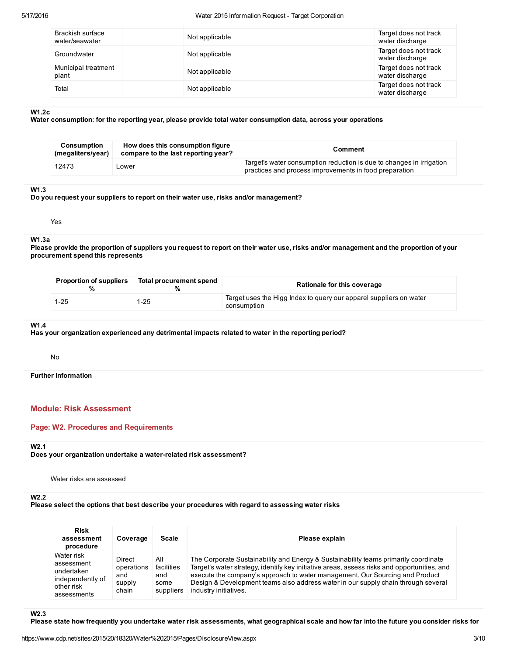### 5/17/2016 Water 2015 Information Request Target Corporation

| Brackish surface<br>water/seawater | Not applicable | Target does not track<br>water discharge |
|------------------------------------|----------------|------------------------------------------|
| Groundwater                        | Not applicable | Target does not track<br>water discharge |
| Municipal treatment<br>plant       | Not applicable | Target does not track<br>water discharge |
| Total                              | Not applicable | Target does not track<br>water discharge |

### W1.2c

Water consumption: for the reporting year, please provide total water consumption data, across your operations

| Consumption<br>(megaliters/year) | How does this consumption figure<br>compare to the last reporting year? | Comment                                                                                                                        |
|----------------------------------|-------------------------------------------------------------------------|--------------------------------------------------------------------------------------------------------------------------------|
| 12473                            | _ower                                                                   | Target's water consumption reduction is due to changes in irrigation<br>practices and process improvements in food preparation |

### W1.3

Do you request your suppliers to report on their water use, risks and/or management?

## Yes

# W1.3a

 Please provide the proportion of suppliers you request to report on their water use, risks and/or management and the proportion of your procurement spend this represents

| <b>Proportion of suppliers</b> | Total procurement spend | Rationale for this coverage                                                       |
|--------------------------------|-------------------------|-----------------------------------------------------------------------------------|
| $1 - 25$                       | $1-25$                  | Target uses the Higg Index to query our apparel suppliers on water<br>consumption |

#### W1.4

### Has your organization experienced any detrimental impacts related to water in the reporting period?

No

Further Information

# Module: Risk Assessment

## Page: W2. Procedures and Requirements

## W2.1

Does your organization undertake a water-related risk assessment?

Water risks are assessed

## W2.2

# Please select the options that best describe your procedures with regard to assessing water risks

| <b>Risk</b><br>assessment<br>procedure                                                  | Coverage                                       | <b>Scale</b>                                  | Please explain                                                                                                                                                                                                                                                                                                                                                                   |
|-----------------------------------------------------------------------------------------|------------------------------------------------|-----------------------------------------------|----------------------------------------------------------------------------------------------------------------------------------------------------------------------------------------------------------------------------------------------------------------------------------------------------------------------------------------------------------------------------------|
| Water risk<br>assessment<br>undertaken<br>independently of<br>other risk<br>assessments | Direct<br>operations<br>and<br>supply<br>chain | All<br>facilities<br>and<br>some<br>suppliers | The Corporate Sustainability and Energy & Sustainability teams primarily coordinate<br>Target's water strategy, identify key initiative areas, assess risks and opportunities, and<br>execute the company's approach to water management. Our Sourcing and Product<br>Design & Development teams also address water in our supply chain through several<br>industry initiatives. |

W2.3

Please state how frequently you undertake water risk assessments, what geographical scale and how far into the future you consider risks for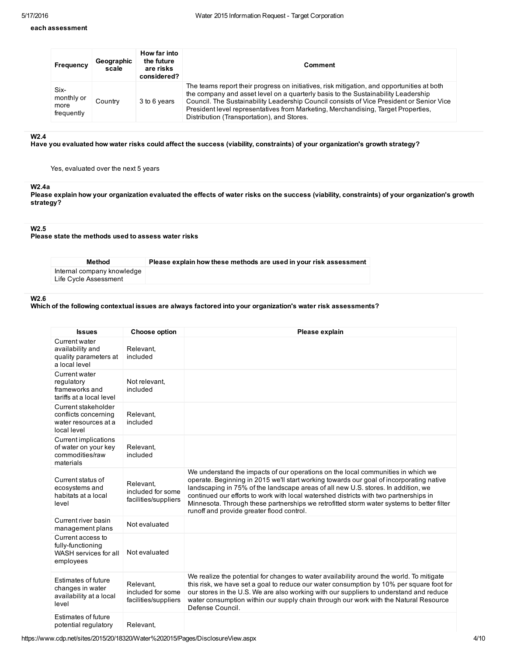## each assessment

| <b>Frequency</b>                         | Geographic<br>scale | How far into<br>the future<br>are risks<br>considered? | Comment                                                                                                                                                                                                                                                                                                                                                                                                        |
|------------------------------------------|---------------------|--------------------------------------------------------|----------------------------------------------------------------------------------------------------------------------------------------------------------------------------------------------------------------------------------------------------------------------------------------------------------------------------------------------------------------------------------------------------------------|
| Six-<br>monthly or<br>more<br>frequently | Country             | 3 to 6 years                                           | The teams report their progress on initiatives, risk mitigation, and opportunities at both<br>the company and asset level on a quarterly basis to the Sustainability Leadership<br>Council. The Sustainability Leadership Council consists of Vice President or Senior Vice<br>President level representatives from Marketing, Merchandising, Target Properties,<br>Distribution (Transportation), and Stores. |

## W2.4

Have you evaluated how water risks could affect the success (viability, constraints) of your organization's growth strategy?

Yes, evaluated over the next 5 years

# W2.4a

Please explain how your organization evaluated the effects of water risks on the success (viability, constraints) of your organization's growth strategy?

## W2.5

## Please state the methods used to assess water risks

| Method                                              | Please explain how these methods are used in your risk assessment |
|-----------------------------------------------------|-------------------------------------------------------------------|
| Internal company knowledge<br>Life Cycle Assessment |                                                                   |

### W2.6

## Which of the following contextual issues are always factored into your organization's water risk assessments?

| <b>Issues</b>                                                                       | <b>Choose option</b>                                   | Please explain                                                                                                                                                                                                                                                                                                                                                                                                                                                                                      |
|-------------------------------------------------------------------------------------|--------------------------------------------------------|-----------------------------------------------------------------------------------------------------------------------------------------------------------------------------------------------------------------------------------------------------------------------------------------------------------------------------------------------------------------------------------------------------------------------------------------------------------------------------------------------------|
| Current water<br>availability and<br>quality parameters at<br>a local level         | Relevant,<br>included                                  |                                                                                                                                                                                                                                                                                                                                                                                                                                                                                                     |
| Current water<br>regulatory<br>frameworks and<br>tariffs at a local level           | Not relevant.<br>included                              |                                                                                                                                                                                                                                                                                                                                                                                                                                                                                                     |
| Current stakeholder<br>conflicts concerning<br>water resources at a<br>local level  | Relevant,<br>included                                  |                                                                                                                                                                                                                                                                                                                                                                                                                                                                                                     |
| <b>Current implications</b><br>of water on your key<br>commodities/raw<br>materials | Relevant.<br>included                                  |                                                                                                                                                                                                                                                                                                                                                                                                                                                                                                     |
| Current status of<br>ecosystems and<br>habitats at a local<br>level                 | Relevant.<br>included for some<br>facilities/suppliers | We understand the impacts of our operations on the local communities in which we<br>operate. Beginning in 2015 we'll start working towards our goal of incorporating native<br>landscaping in 75% of the landscape areas of all new U.S. stores. In addition, we<br>continued our efforts to work with local watershed districts with two partnerships in<br>Minnesota. Through these partnerships we retrofitted storm water systems to better filter<br>runoff and provide greater flood control. |
| Current river basin<br>management plans                                             | Not evaluated                                          |                                                                                                                                                                                                                                                                                                                                                                                                                                                                                                     |
| Current access to<br>fully-functioning<br>WASH services for all<br>employees        | Not evaluated                                          |                                                                                                                                                                                                                                                                                                                                                                                                                                                                                                     |
| <b>Estimates of future</b><br>changes in water<br>availability at a local<br>level  | Relevant.<br>included for some<br>facilities/suppliers | We realize the potential for changes to water availability around the world. To mitigate<br>this risk, we have set a goal to reduce our water consumption by 10% per square foot for<br>our stores in the U.S. We are also working with our suppliers to understand and reduce<br>water consumption within our supply chain through our work with the Natural Resource<br>Defense Council.                                                                                                          |
| <b>Estimates of future</b><br>potential regulatory                                  | Relevant.                                              |                                                                                                                                                                                                                                                                                                                                                                                                                                                                                                     |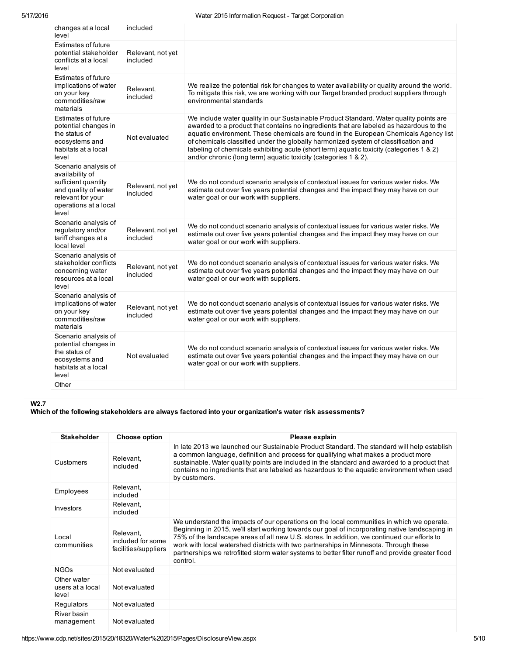| changes at a local<br>level                                                                                                                   | included                      |                                                                                                                                                                                                                                                                                                                                                                                                                                                                                                                              |
|-----------------------------------------------------------------------------------------------------------------------------------------------|-------------------------------|------------------------------------------------------------------------------------------------------------------------------------------------------------------------------------------------------------------------------------------------------------------------------------------------------------------------------------------------------------------------------------------------------------------------------------------------------------------------------------------------------------------------------|
| Estimates of future<br>potential stakeholder<br>conflicts at a local<br>level                                                                 | Relevant, not yet<br>included |                                                                                                                                                                                                                                                                                                                                                                                                                                                                                                                              |
| <b>Estimates of future</b><br>implications of water<br>on your key<br>commodities/raw<br>materials                                            | Relevant,<br>included         | We realize the potential risk for changes to water availability or quality around the world.<br>To mitigate this risk, we are working with our Target branded product suppliers through<br>environmental standards                                                                                                                                                                                                                                                                                                           |
| <b>Estimates of future</b><br>potential changes in<br>the status of<br>ecosystems and<br>habitats at a local<br>level                         | Not evaluated                 | We include water quality in our Sustainable Product Standard. Water quality points are<br>awarded to a product that contains no ingredients that are labeled as hazardous to the<br>aquatic environment. These chemicals are found in the European Chemicals Agency list<br>of chemicals classified under the globally harmonized system of classification and<br>labeling of chemicals exhibiting acute (short term) aquatic toxicity (categories 1 & 2)<br>and/or chronic (long term) aquatic toxicity (categories 1 & 2). |
| Scenario analysis of<br>availability of<br>sufficient quantity<br>and quality of water<br>relevant for your<br>operations at a local<br>level | Relevant, not yet<br>included | We do not conduct scenario analysis of contextual issues for various water risks. We<br>estimate out over five years potential changes and the impact they may have on our<br>water goal or our work with suppliers.                                                                                                                                                                                                                                                                                                         |
| Scenario analysis of<br>regulatory and/or<br>tariff changes at a<br>local level                                                               | Relevant, not yet<br>included | We do not conduct scenario analysis of contextual issues for various water risks. We<br>estimate out over five years potential changes and the impact they may have on our<br>water goal or our work with suppliers.                                                                                                                                                                                                                                                                                                         |
| Scenario analysis of<br>stakeholder conflicts<br>concerning water<br>resources at a local<br>level                                            | Relevant, not yet<br>included | We do not conduct scenario analysis of contextual issues for various water risks. We<br>estimate out over five years potential changes and the impact they may have on our<br>water goal or our work with suppliers.                                                                                                                                                                                                                                                                                                         |
| Scenario analysis of<br>implications of water<br>on your key<br>commodities/raw<br>materials                                                  | Relevant, not yet<br>included | We do not conduct scenario analysis of contextual issues for various water risks. We<br>estimate out over five years potential changes and the impact they may have on our<br>water goal or our work with suppliers.                                                                                                                                                                                                                                                                                                         |
| Scenario analysis of<br>potential changes in<br>the status of<br>ecosystems and<br>habitats at a local<br>level                               | Not evaluated                 | We do not conduct scenario analysis of contextual issues for various water risks. We<br>estimate out over five years potential changes and the impact they may have on our<br>water goal or our work with suppliers.                                                                                                                                                                                                                                                                                                         |
| Other                                                                                                                                         |                               |                                                                                                                                                                                                                                                                                                                                                                                                                                                                                                                              |

## W2.7

Which of the following stakeholders are always factored into your organization's water risk assessments?

| <b>Stakeholder</b>                       | Choose option                                          | Please explain                                                                                                                                                                                                                                                                                                                                                                                                                                                                                       |
|------------------------------------------|--------------------------------------------------------|------------------------------------------------------------------------------------------------------------------------------------------------------------------------------------------------------------------------------------------------------------------------------------------------------------------------------------------------------------------------------------------------------------------------------------------------------------------------------------------------------|
| Customers                                | Relevant,<br>included                                  | In late 2013 we launched our Sustainable Product Standard. The standard will help establish<br>a common language, definition and process for qualifying what makes a product more<br>sustainable. Water quality points are included in the standard and awarded to a product that<br>contains no ingredients that are labeled as hazardous to the aguatic environment when used<br>by customers.                                                                                                     |
| Employees                                | Relevant,<br>included                                  |                                                                                                                                                                                                                                                                                                                                                                                                                                                                                                      |
| Investors                                | Relevant,<br>included                                  |                                                                                                                                                                                                                                                                                                                                                                                                                                                                                                      |
| Local<br>communities                     | Relevant,<br>included for some<br>facilities/suppliers | We understand the impacts of our operations on the local communities in which we operate.<br>Beginning in 2015, we'll start working towards our goal of incorporating native landscaping in<br>75% of the landscape areas of all new U.S. stores. In addition, we continued our efforts to<br>work with local watershed districts with two partnerships in Minnesota. Through these<br>partnerships we retrofitted storm water systems to better filter runoff and provide greater flood<br>control. |
| <b>NGOs</b>                              | Not evaluated                                          |                                                                                                                                                                                                                                                                                                                                                                                                                                                                                                      |
| Other water<br>users at a local<br>level | Not evaluated                                          |                                                                                                                                                                                                                                                                                                                                                                                                                                                                                                      |
| Regulators                               | Not evaluated                                          |                                                                                                                                                                                                                                                                                                                                                                                                                                                                                                      |
| River basin<br>management                | Not evaluated                                          |                                                                                                                                                                                                                                                                                                                                                                                                                                                                                                      |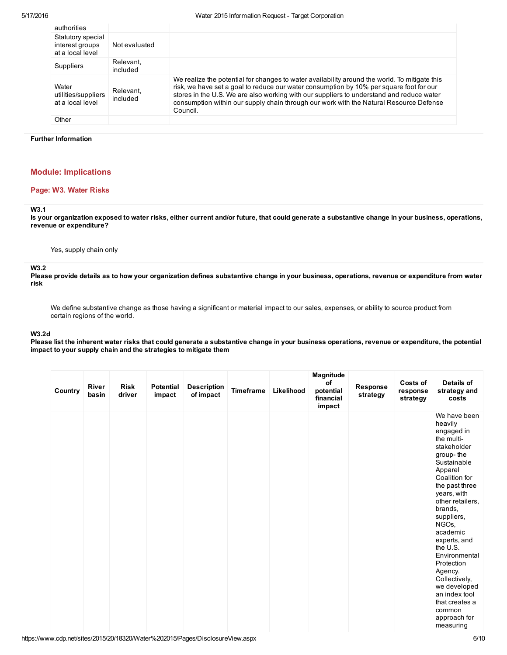#### 5/17/2016 Water 2015 Information Request Target Corporation

| authorities                                              |                       |                                                                                                                                                                                                                                                                                                                                                                                            |
|----------------------------------------------------------|-----------------------|--------------------------------------------------------------------------------------------------------------------------------------------------------------------------------------------------------------------------------------------------------------------------------------------------------------------------------------------------------------------------------------------|
| Statutory special<br>interest groups<br>at a local level | Not evaluated         |                                                                                                                                                                                                                                                                                                                                                                                            |
| <b>Suppliers</b>                                         | Relevant.<br>included |                                                                                                                                                                                                                                                                                                                                                                                            |
| Water<br>utilities/suppliers<br>at a local level         | Relevant.<br>included | We realize the potential for changes to water availability around the world. To mitigate this<br>risk, we have set a goal to reduce our water consumption by 10% per square foot for our<br>stores in the U.S. We are also working with our suppliers to understand and reduce water<br>consumption within our supply chain through our work with the Natural Resource Defense<br>Council. |
| Other                                                    |                       |                                                                                                                                                                                                                                                                                                                                                                                            |
|                                                          |                       |                                                                                                                                                                                                                                                                                                                                                                                            |

### Further Information

# Module: Implications

## Page: W3. Water Risks

## W3.1

Is your organization exposed to water risks, either current and/or future, that could generate a substantive change in your business, operations, revenue or expenditure?

Yes, supply chain only

#### W3.2

Please provide details as to how your organization defines substantive change in your business, operations, revenue or expenditure from water risk

We define substantive change as those having a significant or material impact to our sales, expenses, or ability to source product from certain regions of the world.

### W3.2d

Please list the inherent water risks that could generate a substantive change in your business operations, revenue or expenditure, the potential impact to your supply chain and the strategies to mitigate them

| Country | <b>River</b><br>basin | <b>Risk</b><br>driver | <b>Potential</b><br>impact | <b>Description</b><br>of impact | <b>Timeframe</b> | Likelihood | Magnitude<br>of<br>potential<br>financial<br>impact | Response<br>strategy | Costs of<br>response<br>strategy | Details of<br>strategy and<br>costs                                                                                                                                                                                                                                                                                                                                                                                       |
|---------|-----------------------|-----------------------|----------------------------|---------------------------------|------------------|------------|-----------------------------------------------------|----------------------|----------------------------------|---------------------------------------------------------------------------------------------------------------------------------------------------------------------------------------------------------------------------------------------------------------------------------------------------------------------------------------------------------------------------------------------------------------------------|
|         |                       |                       |                            |                                 |                  |            |                                                     |                      |                                  | We have been<br>heavily<br>engaged in<br>the multi-<br>stakeholder<br>group-the<br>Sustainable<br>Apparel<br>Coalition for<br>the past three<br>years, with<br>other retailers,<br>brands,<br>suppliers,<br>NGO <sub>s</sub><br>academic<br>experts, and<br>the U.S.<br>Environmental<br>Protection<br>Agency.<br>Collectively,<br>we developed<br>an index tool<br>that creates a<br>common<br>approach for<br>measuring |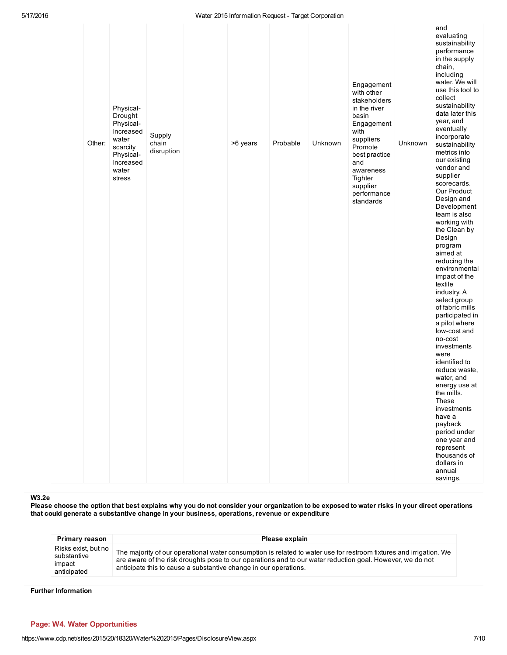#### 5/17/2016 Water 2015 Information Request Target Corporation

|        |                                                                                                                  |                               | watch zo is inici mation i request - Tai get ooi poration |          |         |                                                                                                                                                                                                         |         |                                                                                                                                                                                                                                                                                                                                                                                                                                                                                                                                                                                                                                                                                                                                                                                                                                                                                      |
|--------|------------------------------------------------------------------------------------------------------------------|-------------------------------|-----------------------------------------------------------|----------|---------|---------------------------------------------------------------------------------------------------------------------------------------------------------------------------------------------------------|---------|--------------------------------------------------------------------------------------------------------------------------------------------------------------------------------------------------------------------------------------------------------------------------------------------------------------------------------------------------------------------------------------------------------------------------------------------------------------------------------------------------------------------------------------------------------------------------------------------------------------------------------------------------------------------------------------------------------------------------------------------------------------------------------------------------------------------------------------------------------------------------------------|
| Other: | Physical-<br>Drought<br>Physical-<br>Increased<br>water<br>scarcity<br>Physical-<br>Increased<br>water<br>stress | Supply<br>chain<br>disruption | >6 years                                                  | Probable | Unknown | Engagement<br>with other<br>stakeholders<br>in the river<br>basin<br>Engagement<br>with<br>suppliers<br>Promote<br>best practice<br>and<br>awareness<br>Tighter<br>supplier<br>performance<br>standards | Unknown | and<br>evaluating<br>sustainability<br>performance<br>in the supply<br>chain,<br>including<br>water. We will<br>use this tool to<br>collect<br>sustainability<br>data later this<br>year, and<br>eventually<br>incorporate<br>sustainability<br>metrics into<br>our existing<br>vendor and<br>supplier<br>scorecards.<br>Our Product<br>Design and<br>Development<br>team is also<br>working with<br>the Clean by<br>Design<br>program<br>aimed at<br>reducing the<br>environmental<br>impact of the<br>textile<br>industry. A<br>select group<br>of fabric mills<br>participated in<br>a pilot where<br>low-cost and<br>no-cost<br>investments<br>were<br>identified to<br>reduce waste,<br>water, and<br>energy use at<br>the mills.<br>These<br>investments<br>have a<br>payback<br>period under<br>one year and<br>represent<br>thousands of<br>dollars in<br>annual<br>savings. |

W3.2e

 Please choose the option that best explains why you do not consider your organization to be exposed to water risks in your direct operations that could generate a substantive change in your business, operations, revenue or expenditure

| <b>Primary reason</b>                                       | Please explain                                                                                                                                                                                                                                                                                      |
|-------------------------------------------------------------|-----------------------------------------------------------------------------------------------------------------------------------------------------------------------------------------------------------------------------------------------------------------------------------------------------|
| Risks exist, but no<br>substantive<br>impact<br>anticipated | The majority of our operational water consumption is related to water use for restroom fixtures and irrigation. We<br>are aware of the risk droughts pose to our operations and to our water reduction goal. However, we do not<br>anticipate this to cause a substantive change in our operations. |

Further Information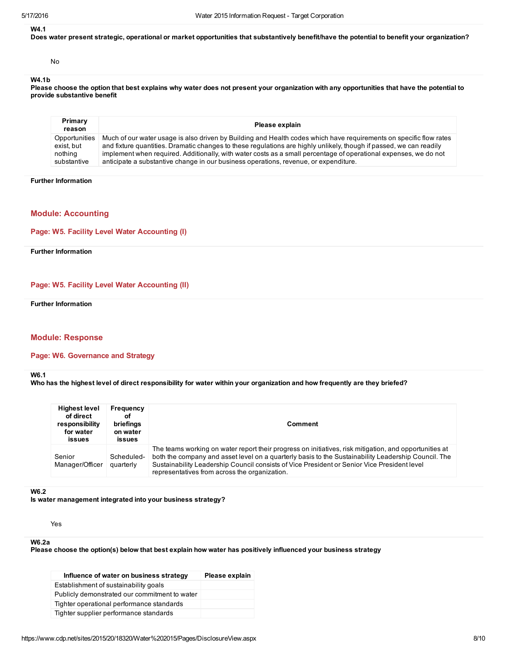### W4.1

Does water present strategic, operational or market opportunities that substantively benefit/have the potential to benefit your organization?

No

## W4.1b

 Please choose the option that best explains why water does not present your organization with any opportunities that have the potential to provide substantive benefit

| Primary<br>reason | Please explain                                                                                                      |
|-------------------|---------------------------------------------------------------------------------------------------------------------|
| Opportunities     | Much of our water usage is also driven by Building and Health codes which have requirements on specific flow rates  |
| exist. but        | and fixture quantities. Dramatic changes to these regulations are highly unlikely, though if passed, we can readily |
| nothing           | implement when required. Additionally, with water costs as a small percentage of operational expenses, we do not    |
| substantive       | anticipate a substantive change in our business operations, revenue, or expenditure.                                |

#### Further Information

# Module: Accounting

## Page: W5. Facility Level Water Accounting (I)

Further Information

### Page: W5. Facility Level Water Accounting (II)

Further Information

## Module: Response

### Page: W6. Governance and Strategy

W6.1

Who has the highest level of direct responsibility for water within your organization and how frequently are they briefed?

| <b>Highest level</b><br>of direct<br>responsibility<br>for water<br><b>issues</b> | Frequency<br>οf<br>briefings<br>on water<br><b>issues</b> | Comment                                                                                                                                                                                                                                                                                                                                                       |
|-----------------------------------------------------------------------------------|-----------------------------------------------------------|---------------------------------------------------------------------------------------------------------------------------------------------------------------------------------------------------------------------------------------------------------------------------------------------------------------------------------------------------------------|
| Senior<br>Manager/Officer                                                         | Scheduled-<br>quarterly                                   | The teams working on water report their progress on initiatives, risk mitigation, and opportunities at<br>both the company and asset level on a quarterly basis to the Sustainability Leadership Council. The<br>Sustainability Leadership Council consists of Vice President or Senior Vice President level<br>representatives from across the organization. |

#### W6.2

Is water management integrated into your business strategy?

Yes

### W6.2a

Please choose the option(s) below that best explain how water has positively influenced your business strategy

| Influence of water on business strategy       | Please explain |
|-----------------------------------------------|----------------|
| Establishment of sustainability goals         |                |
| Publicly demonstrated our commitment to water |                |
| Tighter operational performance standards     |                |
| Tighter supplier performance standards        |                |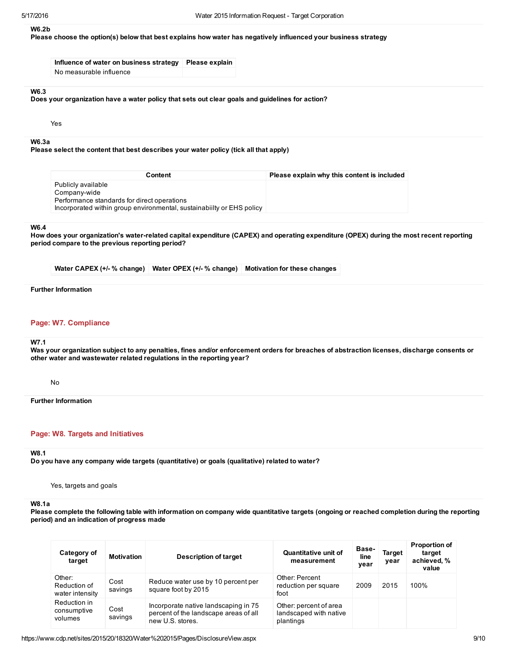## W6.2b

Please choose the option(s) below that best explains how water has negatively influenced your business strategy

Influence of water on business strategy Please explain No measurable influence

## W6.3

Does your organization have a water policy that sets out clear goals and guidelines for action?

Yes

#### W6.3a

Please select the content that best describes your water policy (tick all that apply)

| Content                                                               | Please explain why this content is included |
|-----------------------------------------------------------------------|---------------------------------------------|
| Publicly available                                                    |                                             |
| Company-wide                                                          |                                             |
| Performance standards for direct operations                           |                                             |
| Incorporated within group environmental, sustainability or EHS policy |                                             |

#### W6.4

 How does your organization's waterrelated capital expenditure (CAPEX) and operating expenditure (OPEX) during the most recent reporting period compare to the previous reporting period?

Water CAPEX (+/- % change) Water OPEX (+/- % change) Motivation for these changes

### Further Information

## Page: W7. Compliance

#### W7.1

 Was your organization subject to any penalties, fines and/or enforcement orders for breaches of abstraction licenses, discharge consents or other water and wastewater related regulations in the reporting year?

No

Further Information

## Page: W8. Targets and Initiatives

#### W8.1

Do you have any company wide targets (quantitative) or goals (qualitative) related to water?

Yes, targets and goals

## W8.1a

 Please complete the following table with information on company wide quantitative targets (ongoing or reached completion during the reporting period) and an indication of progress made

| Category of<br>target                     | <b>Motivation</b> | <b>Description of target</b>                                                                      | <b>Quantitative unit of</b><br>measurement                    | Base-<br>line<br>year | <b>Target</b><br>year | <b>Proportion of</b><br>target<br>achieved, %<br>value |
|-------------------------------------------|-------------------|---------------------------------------------------------------------------------------------------|---------------------------------------------------------------|-----------------------|-----------------------|--------------------------------------------------------|
| Other:<br>Reduction of<br>water intensity | Cost<br>savings   | Reduce water use by 10 percent per<br>square foot by 2015                                         | Other: Percent<br>reduction per square<br>foot                | 2009                  | 2015                  | 100%                                                   |
| Reduction in<br>consumptive<br>volumes    | Cost<br>savings   | Incorporate native landscaping in 75<br>percent of the landscape areas of all<br>new U.S. stores. | Other: percent of area<br>landscaped with native<br>plantings |                       |                       |                                                        |